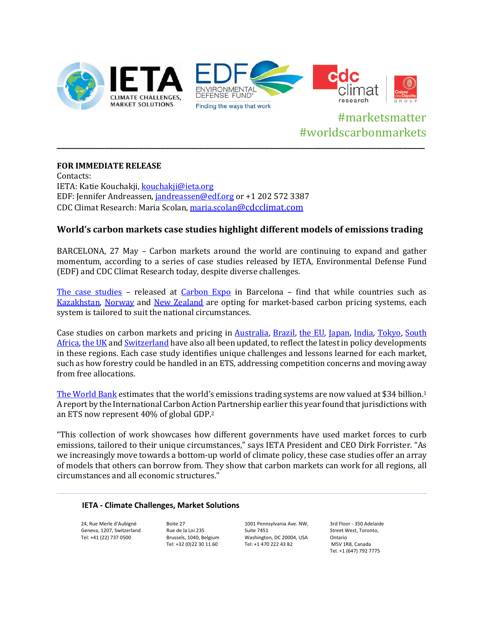

# #marketsmatter #worldscarbonmarkets **\_\_\_\_\_\_\_\_\_\_\_\_\_\_\_\_\_\_\_\_\_\_\_\_\_\_\_\_\_\_\_\_\_\_\_\_\_\_\_\_\_\_\_\_\_\_\_\_\_\_\_\_\_\_\_\_\_\_\_\_\_\_\_\_\_\_\_\_\_\_\_\_\_\_\_\_\_\_\_\_\_\_\_\_\_**

# **FOR IMMEDIATE RELEASE**

Contacts: IETA: Katie Kouchakji, [kouchakji@ieta.org](mailto:kouchakji@ieta.org) EDF: Jennifer Andreassen[, jandreassen@edf.org](mailto:jandreassen@edf.org) or +1 202 572 3387 CDC Climat Research: Maria Scolan[, maria.scolan@cdcclimat.com](mailto:maria.scolan@cdcclimat.com)

# **World's carbon markets case studies highlight different models of emissions trading**

BARCELONA, 27 May – Carbon markets around the world are continuing to expand and gather momentum, according to a series of case studies released by IETA, Environmental Defense Fund (EDF) and CDC Climat Research today, despite diverse challenges.

[The case studies](http://www.ieta.org/worldscarbonmarkets) – released at [Carbon Expo](http://www.carbonexpo.com/) in Barcelona – find that while countries such as [Kazakhstan,](https://ieta.memberclicks.net/assets/CaseStudy2015/kazakhstan_case_study_may2015.pdf) [Norway](https://ieta.memberclicks.net/assets/CaseStudy2015/norway_case_study_may2015.pdf) and [New Zealand](https://ieta.memberclicks.net/assets/CaseStudy2015/new_zealand_case_study_may2015.pdf) are opting for market-based carbon pricing systems, each system is tailored to suit the national circumstances.

Case studies on carbon markets and pricing in [Australia,](https://ieta.memberclicks.net/assets/CaseStudy2015/australia_case_study_may2015.pdf) [Brazil,](https://ieta.memberclicks.net/assets/CaseStudy2015/brazil_case_study_may2015.pdf) [the EU,](https://ieta.memberclicks.net/assets/CaseStudy2015/euets_case_study_may2015.pdf) [Japan,](https://ieta.memberclicks.net/assets/CaseStudy2015/japan_case_study_may2015.pdf) [India,](https://ieta.memberclicks.net/assets/CaseStudy2015/india_case_study_may2015.pdf) [Tokyo,](https://ieta.memberclicks.net/assets/CaseStudy2015/tokyo_case_study_may2015.pdf) [South](https://ieta.memberclicks.net/assets/CaseStudy2015/south_africa_case_study_may2015.pdf)  [Africa,](https://ieta.memberclicks.net/assets/CaseStudy2015/south_africa_case_study_may2015.pdf) [the UK](https://ieta.memberclicks.net/assets/CaseStudy2015/uk_case_study_may2015.pdf) an[d Switzerland](https://ieta.memberclicks.net/assets/CaseStudy2015/switzerland_case_study_may2015.pdf) have also all been updated, to reflect the latest in policy developments in these regions. Each case study identifies unique challenges and lessons learned for each market, such as how forestry could be handled in an ETS, addressing competition concerns and moving away from free allocations.

[The World Bank](http://www.worldbank.org/en/news/feature/2015/05/26/carbon-pricing-initiatives-nearly-50-billion) estimates that the world's emissions trading systems are now valued at \$34 billion.1 A report by the International Carbon Action Partnership earlier this year found that jurisdictions with an ETS now represent 40% of global GDP.2

"This collection of work showcases how different governments have used market forces to curb emissions, tailored to their unique circumstances," says IETA President and CEO Dirk Forrister. "As we increasingly move towards a bottom-up world of climate policy, these case studies offer an array of models that others can borrow from. They show that carbon markets can work for all regions, all circumstances and all economic structures."

#### **IETA - Climate Challenges, Market Solutions**

24, Rue Merle d'Aubigné Geneva, 1207, Switzerland Tel: +41 (22) 737 0500

Boite 27 Rue de la Loi 235 Brussels, 1040, Belgium Tel: +32 (0)22 30 11 60

1001 Pennsylvania Ave. NW, Suite 7451 Washington, DC 20004, USA Tel: +1 470 222 43 82

3rd Floor - 350 Adelaide Street West, Toronto, Ontario M5V 1R8, Canada Tel. +1 (647) 792 7775